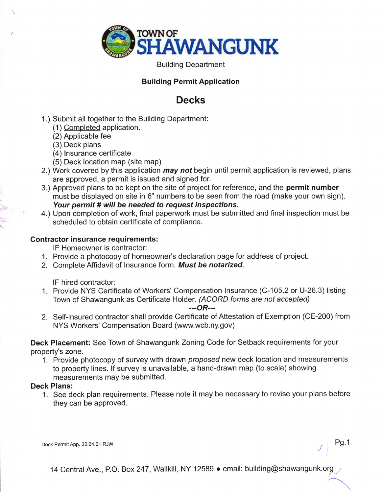

Building Department

## Building Permit Application

## Decks

- 1.) Submit all together to the Building Department:
	- (1) Completed application.
	- (2) Applicable fee
	- (3) Deck plans
	- (4) Insurance certificate
	- (5) Deck location map (site map)
- 2.) Work covered by this application *may not* begin until permit application is reviewed, plans are approved, a permit is issued and signed for.
- 3.) Approved plans to be kept on the site of project for reference, and the **permit number** must be displayed on site in 6" numbers to be seen from the road (make your own sign). Your permit # will be needed to request inspections.
- 4.) Upon completion of work, final papenvork must be submitted and final inspection must be scheduled to obtain certificate of compliance.

## Contractor insurance requirements:

lF Homeowner is contractor:

- 1. Provide a photocopy of homeowner's declaration page for address of project.
- 2. Complete Affidavit of Insurance form. Must be notarized.

lF hired contractor:

1. Provide NYS Certificate of Workers' Compensation lnsurance (C-105.2 or U-26.3) listing Town of Shawangunk as Certificate Holder. (ACORD forms are not accepted)

---OR---

2. Self-insured contractor shall provide Certificate of Attestation of Exemption (CE-200) from NYS Workers' Compensation Board (www.wcb.ny.gov)

Deck Placement: See Town of Shawangunk Zoning Code for Setback requirements for your property's zone.

1. Provide photocopy of survey with drawn proposed new deck location and measurements to property lines. lf survey is unavailable, a hand-drawn map (to scale) showing measurements may be submitted.

## Deck Plans:

1. See deck plan requirements. Please note it may be necessary to revise your plans before they can be approved.

Deck Permit App. 22.04.01 RJW